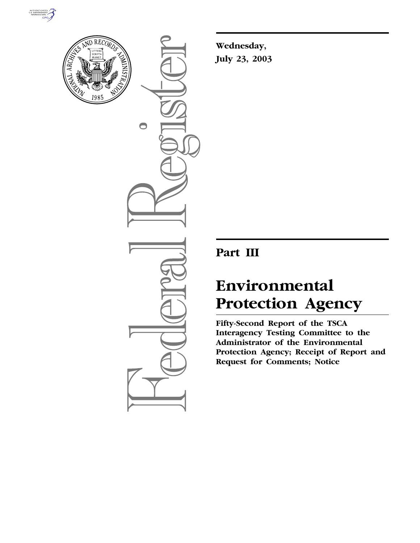



 $\bigcirc$ 

**Wednesday, July 23, 2003**

## **Part III**

# **Environmental Protection Agency**

**Fifty-Second Report of the TSCA Interagency Testing Committee to the Administrator of the Environmental Protection Agency; Receipt of Report and Request for Comments; Notice**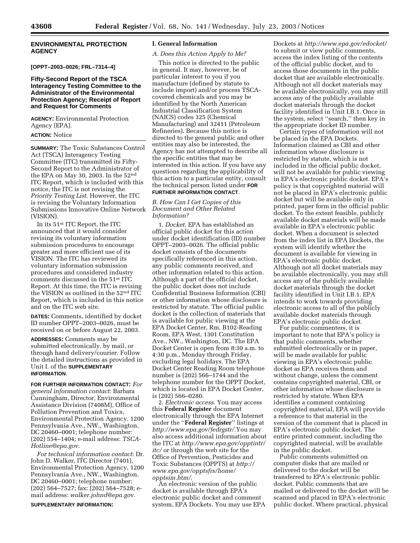## **ENVIRONMENTAL PROTECTION AGENCY**

**[OPPT–2003–0026; FRL–7314–4]** 

## **Fifty-Second Report of the TSCA Interagency Testing Committee to the Administrator of the Environmental Protection Agency; Receipt of Report and Request for Comments**

**AGENCY:** Environmental Protection Agency (EPA).

## **ACTION:** Notice

**SUMMARY:** The Toxic Substances Control Act (TSCA) Interagency Testing Committee (ITC) transmitted its Fifty-Second Report to the Administrator of the EPA on May 30, 2003. In the 52nd ITC Report, which is included with this notice, the ITC is not revising the *Priority Testing List*. However, the ITC is revising the Voluntary Information Submissions Innovative Online Network (VISION).

In its 51st ITC Report, the ITC announced that it would consider revising its voluntary information submission procedures to encourage greater and more efficient use of its VISION. The ITC has reviewed its voluntary information submission procedures and considered industry comments discussed in the 51st ITC Report. At this time, the ITC is revising the VISION as outlined in the 52nd ITC Report, which is included in this notice and on the ITC web site.

**DATES:** Comments, identified by docket ID number OPPT–2003–0026, must be received on or before August 22, 2003.

**ADDRESSES:** Comments may be submitted electronically, by mail, or through hand delivery/courier. Follow the detailed instructions as provided in Unit I. of the **SUPPLEMENTARY INFORMATION**.

**FOR FURTHER INFORMATION CONTACT:** *For general information contact*: Barbara Cunningham, Director, Environmental Assistance Division (7408M), Office of Pollution Prevention and Toxics, Environmental Protection Agency, 1200 Pennsylvania Ave., NW., Washington, DC 20460–0001; telephone number: (202) 554–1404; e-mail address: *TSCA-Hotline@epa.gov*.

*For technical information contact*: Dr. John D. Walker, ITC Director (7401), Environmental Protection Agency, 1200 Pennsylvania Ave., NW., Washington, DC 20460–0001; telephone number: (202) 564–7527; fax: (202) 564–7528; email address: *walker.johnd@epa.gov*.

**SUPPLEMENTARY INFORMATION:** 

## **I. General Information**

## *A. Does this Action Apply to Me?*

This notice is directed to the public in general. It may, however, be of particular interest to you if you manufacture (defined by statute to include import) and/or process TSCAcovered chemicals and you may be identified by the North American Industrial Classification System (NAICS) codes 325 (Chemical Manufacturing) and 32411 (Petroleum Refineries). Because this notice is directed to the general public and other entities may also be interested, the Agency has not attempted to describe all the specific entities that may be interested in this action. If you have any questions regarding the applicability of this action to a particular entity, consult the technical person listed under **FOR FURTHER INFORMATION CONTACT**.

## *B. How Can I Get Copies of this Document and Other Related Information?*

1. *Docket.* EPA has established an official public docket for this action under docket identification (ID) number OPPT–2003–0026. The official public docket consists of the documents specifically referenced in this action, any public comments received, and other information related to this action. Although a part of the official docket, the public docket does not include Confidential Business Information (CBI) or other information whose disclosure is restricted by statute. The official public docket is the collection of materials that is available for public viewing at the EPA Docket Center, Rm. B102-Reading Room, EPA West, 1301 Constitution Ave., NW., Washington, DC. The EPA Docket Center is open from 8:30 a.m. to 4:30 p.m., Monday through Friday, excluding legal holidays. The EPA Docket Center Reading Room telephone number is (202) 566–1744 and the telephone number for the OPPT Docket, which is located in EPA Docket Center, is (202) 566–0280.

2. *Electronic access*. You may access this **Federal Register** document electronically through the EPA Internet under the ''**Federal Register**'' listings at *http://www.epa.gov/fedrgstr/*.You may also access additional information about the ITC at *http://www.epa.gov/opptintr/ itc/* or through the web site for the Office of Prevention, Pesticides and Toxic Substances (OPPTS) at *http:// www.epa.gov/opptsfrs/home/ opptsim.htm/*.

An electronic version of the public docket is available through EPA's electronic public docket and comment system, EPA Dockets. You may use EPA Dockets at *http://www.epa.gov/edocket/* to submit or view public comments, access the index listing of the contents of the official public docket, and to access those documents in the public docket that are available electronically. Although not all docket materials may be available electronically, you may still access any of the publicly available docket materials through the docket facility identified in Unit I.B.1. Once in the system, select ''search,'' then key in the appropriate docket ID number.

Certain types of information will not be placed in the EPA Dockets. Information claimed as CBI and other information whose disclosure is restricted by statute, which is not included in the official public docket, will not be available for public viewing in EPA's electronic public docket. EPA's policy is that copyrighted material will not be placed in EPA's electronic public docket but will be available only in printed, paper form in the official public docket. To the extent feasible, publicly available docket materials will be made available in EPA's electronic public docket. When a document is selected from the index list in EPA Dockets, the system will identify whether the document is available for viewing in EPA's electronic public docket. Although not all docket materials may be available electronically, you may still access any of the publicly available docket materials through the docket facility identified in Unit I.B.1. EPA intends to work towards providing electronic access to all of the publicly available docket materials through EPA's electronic public docket.

For public commenters, it is important to note that EPA's policy is that public comments, whether submitted electronically or in paper, will be made available for public viewing in EPA's electronic public docket as EPA receives them and without change, unless the comment contains copyrighted material, CBI, or other information whose disclosure is restricted by statute. When EPA identifies a comment containing copyrighted material, EPA will provide a reference to that material in the version of the comment that is placed in EPA's electronic public docket. The entire printed comment, including the copyrighted material, will be available in the public docket.

Public comments submitted on computer disks that are mailed or delivered to the docket will be transferred to EPA's electronic public docket. Public comments that are mailed or delivered to the docket will be scanned and placed in EPA's electronic public docket. Where practical, physical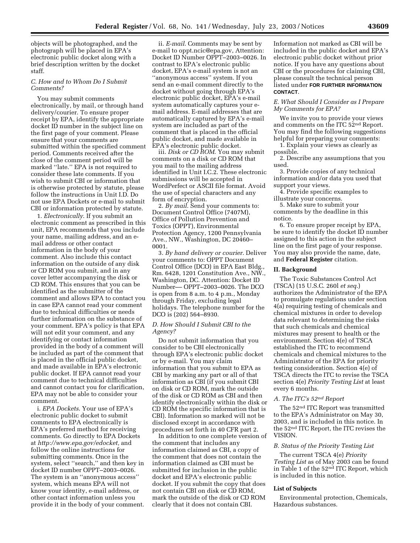objects will be photographed, and the photograph will be placed in EPA's electronic public docket along with a brief description written by the docket staff.

## *C. How and to Whom Do I Submit Comments?*

You may submit comments electronically, by mail, or through hand delivery/courier. To ensure proper receipt by EPA, identify the appropriate docket ID number in the subject line on the first page of your comment. Please ensure that your comments are submitted within the specified comment period. Comments received after the close of the comment period will be marked ''late.'' EPA is not required to consider these late comments. If you wish to submit CBI or information that is otherwise protected by statute, please follow the instructions in Unit I.D. Do not use EPA Dockets or e-mail to submit CBI or information protected by statute.

1. *Electronically*. If you submit an electronic comment as prescribed in this unit, EPA recommends that you include your name, mailing address, and an email address or other contact information in the body of your comment. Also include this contact information on the outside of any disk or CD ROM you submit, and in any cover letter accompanying the disk or CD ROM. This ensures that you can be identified as the submitter of the comment and allows EPA to contact you in case EPA cannot read your comment due to technical difficulties or needs further information on the substance of your comment. EPA's policy is that EPA will not edit your comment, and any identifying or contact information provided in the body of a comment will be included as part of the comment that is placed in the official public docket, and made available in EPA's electronic public docket. If EPA cannot read your comment due to technical difficulties and cannot contact you for clarification, EPA may not be able to consider your comment.

i. *EPA Dockets*. Your use of EPA's electronic public docket to submit comments to EPA electronically is EPA's preferred method for receiving comments. Go directly to EPA Dockets at *http://www.epa.gov/edocket,* and follow the online instructions for submitting comments. Once in the system, select ''search,'' and then key in docket ID number OPPT–2003–0026. The system is an ''anonymous access'' system, which means EPA will not know your identity, e-mail address, or other contact information unless you provide it in the body of your comment.

ii. *E-mail*. Comments may be sent by e-mail to oppt.ncic@epa.gov, Attention: Docket ID Number OPPT–2003–0026. In contrast to EPA's electronic public docket, EPA's e-mail system is not an ''anonymous access'' system. If you send an e-mail comment directly to the docket without going through EPA's electronic public docket, EPA's e-mail system automatically captures your email address. E-mail addresses that are automatically captured by EPA's e-mail system are included as part of the comment that is placed in the official public docket, and made available in EPA's electronic public docket.

iii. *Disk or CD ROM*. You may submit comments on a disk or CD ROM that you mail to the mailing address identified in Unit I.C.2. These electronic submissions will be accepted in WordPerfect or ASCII file format. Avoid the use of special characters and any form of encryption.

2. *By mail*. Send your comments to: Document Control Office (7407M), Office of Pollution Prevention and Toxics (OPPT), Environmental Protection Agency, 1200 Pennsylvania Ave., NW., Washington, DC 20460– 0001.

3. *By hand delivery or courier*. Deliver your comments to: OPPT Document Control Office (DCO) in EPA East Bldg., Rm. 6428, 1201 Constitution Ave., NW., Washington, DC. Attention: Docket ID Number–– OPPT–2003–0026. The DCO is open from 8 a.m. to 4 p.m., Monday through Friday, excluding legal holidays. The telephone number for the DCO is (202) 564–8930.

## *D. How Should I Submit CBI to the Agency?*

Do not submit information that you consider to be CBI electronically through EPA's electronic public docket or by e-mail. You may claim information that you submit to EPA as CBI by marking any part or all of that information as CBI (if you submit CBI on disk or CD ROM, mark the outside of the disk or CD ROM as CBI and then identify electronically within the disk or CD ROM the specific information that is CBI). Information so marked will not be disclosed except in accordance with procedures set forth in 40 CFR part 2.

In addition to one complete version of the comment that includes any information claimed as CBI, a copy of the comment that does not contain the information claimed as CBI must be submitted for inclusion in the public docket and EPA's electronic public docket. If you submit the copy that does not contain CBI on disk or CD ROM, mark the outside of the disk or CD ROM clearly that it does not contain CBI.

Information not marked as CBI will be included in the public docket and EPA's electronic public docket without prior notice. If you have any questions about CBI or the procedures for claiming CBI, please consult the technical person listed under **FOR FURTHER INFORMATION CONTACT**.

## *E. What Should I Consider as I Prepare My Comments for EPA?*

We invite you to provide your views and comments on the ITC 52nd Report. You may find the following suggestions helpful for preparing your comments:

1. Explain your views as clearly as possible.

2. Describe any assumptions that you used.

3. Provide copies of any technical information and/or data you used that support your views.

4. Provide specific examples to illustrate your concerns.

5. Make sure to submit your comments by the deadline in this notice.

6. To ensure proper receipt by EPA, be sure to identify the docket ID number assigned to this action in the subject line on the first page of your response. You may also provide the name, date, and **Federal Register** citation.

## **II. Background**

The Toxic Substances Control Act (TSCA) (15 U.S.C. 260l *et seq*.) authorizes the Administrator of the EPA to promulgate regulations under section 4(a) requiring testing of chemicals and chemical mixtures in order to develop data relevant to determining the risks that such chemicals and chemical mixtures may present to health or the environment. Section 4(e) of TSCA established the ITC to recommend chemicals and chemical mixtures to the Administrator of the EPA for priority testing consideration. Section 4(e) of TSCA directs the ITC to revise the TSCA section 4(e) *Priority Testing List* at least every 6 months.

## *A. The ITC's 52nd Report*

The 52nd ITC Report was transmitted to the EPA's Administrator on May 30, 2003, and is included in this notice. In the 52nd ITC Report, the ITC revises the VISION.

## *B. Status of the Priority Testing List*

The current TSCA 4(e) *Priority Testing List* as of May 2003 can be found in Table 1 of the 52nd ITC Report, which is included in this notice.

## **List of Subjects**

Environmental protection, Chemicals, Hazardous substances.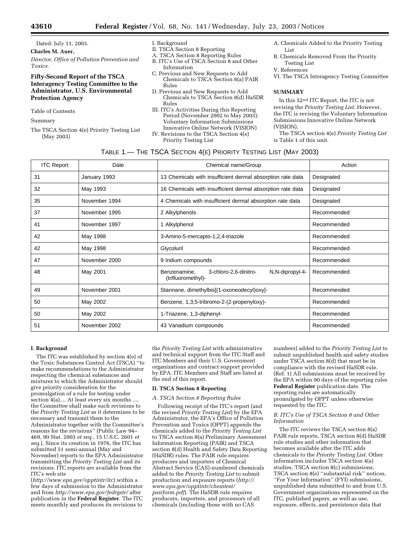Dated: July 11, 2003.

**Charles M. Auer,**  *Director, Office of Pollution Prevention and Toxics.*

## **Fifty-Second Report of the TSCA Interagency Testing Committee to the Administrator, U.S. Environmental Protection Agency**

### Table of Contents

Summary

The TSCA Section 4(e) Priority Testing List (May 2003)

- I. Background
- II. TSCA Section 8 Reporting
- A. TSCA Section 8 Reporting Rules
- B. ITC's Use of TSCA Section 8 and Other Information
- C. Previous and New Requests to Add Chemicals to TSCA Section 8(a) PAIR Rules
- D. Previous and New Requests to Add Chemicals to TSCA Section 8(d) HaSDR Rules
- III. ITC's Activities During this Reporting Period (November 2002 to May 2003): Voluntary Information Submissions
- Innovative Online Network (VISION) IV. Revisions to the TSCA Section 4(e)
	- Priority Testing List
- A. Chemicals Added to the Priority Testing List
- B. Chemicals Removed From the Priority Testing List
- V. References

VI. The TSCA Interagency Testing Committee

### **SUMMARY**

In this 52nd ITC Report, the ITC is not revising the *Priority Testing List*. However, the ITC is revising the Voluntary Information Submissions Innovative Online Network (VISION).

The TSCA section 4(e) *Priority Testing List* is Table 1 of this unit.

| TABLE 1.— THE TSCA SECTION 4(E) PRIORITY TESTING LIST (MAY 2003) |  |  |  |  |  |
|------------------------------------------------------------------|--|--|--|--|--|
|------------------------------------------------------------------|--|--|--|--|--|

| <b>ITC Report</b> | Date          | Chemical name/Group                                                            | Action      |
|-------------------|---------------|--------------------------------------------------------------------------------|-------------|
| 31                | January 1993  | 13 Chemicals with insufficient dermal absorption rate data                     | Designated  |
| 32                | May 1993      | 16 Chemicals with insufficient dermal absorption rate data                     | Designated  |
| 35                | November 1994 | 4 Chemicals with insufficient dermal absorption rate data                      | Designated  |
| 37                | November 1995 | 2 Alkylphenols                                                                 | Recommended |
| 41                | November 1997 | 1 Alkylphenol                                                                  | Recommended |
| 42                | May 1998      | 3-Amino-5-mercapto-1,2,4-triazole                                              | Recommended |
| 42                | May 1998      | Glycoluril                                                                     | Recommended |
| 47                | November 2000 | 9 Indium compounds                                                             | Recommended |
| 48                | May 2001      | 3-chloro-2,6-dinitro-<br>N,N-dipropyl-4-<br>Benzenamine,<br>(trifluoromethyl)- | Recommended |
| 49                | November 2001 | Stannane, dimethylbis[(1-oxoneodecyl)oxy]-                                     | Recommended |
| 50                | May 2002      | Benzene, 1,3,5-tribromo-2-(2-propenyloxy)-                                     | Recommended |
| 50                | May 2002      | 1-Triazene, 1,3-diphenyl-                                                      | Recommended |
| 51                | November 2002 | 43 Vanadium compounds                                                          | Recommended |

#### **I. Background**

The ITC was established by section 4(e) of the Toxic Substances Control Act (TSCA) ''to make recommendations to the Administrator respecting the chemical substances and mixtures to which the Administrator should give priority consideration for the promulgation of a rule for testing under section  $4(a)$ .... At least every six months ..., the Committee shall make such revisions to the *Priority Testing List* as it determines to be necessary and transmit them to the Administrator together with the Committee's reasons for the revisions'' (Public Law 94– 469, 90 Stat. 2003 *et seq*., 15 U.S.C. 2601 *et seq*.). Since its creation in 1976, the ITC has submitted 51 semi-annual (May and November) reports to the EPA Administrator transmitting the *Priority Testing List* and its revisions. ITC reports are available from the ITC's web site

(*http://www.epa.gov/opptintr/itc*) within a few days of submission to the Administrator and from *http://www.epa.gov/fedrgstr/* after publication in the **Federal Register**. The ITC meets monthly and produces its revisions to

the *Priority Testing List* with administrative and technical support from the ITC Staff and ITC Members and their U.S. Government organizations and contract support provided by EPA. ITC Members and Staff are listed at the end of this report.

#### **II. TSCA Section 8 Reporting**

#### *A. TSCA Section 8 Reporting Rules*

Following receipt of the ITC's report (and the revised *Priority Testing List*) by the EPA Administrator, the EPA's Office of Pollution Prevention and Toxics (OPPT) appends the chemicals added to the *Priority Testing List* to TSCA section 8(a) Preliminary Assessment Information Reporting (PAIR) and TSCA section 8(d) Health and Safety Data Reporting (HaSDR) rules. The PAIR rule requires producers and importers of Chemical Abstract Service (CAS)-numbered chemicals added to the *Priority Testing List* to submit production and exposure reports (*http:// www.epa.gov/opptintr/chemtest/ pairform.pdf*). The HaSDR rule requires producers, importers, and processors of all chemicals (including those with no CAS

numbers) added to the *Priority Testing List* to submit unpublished health and safety studies under TSCA section 8(d) that must be in compliance with the revised HaSDR rule. (Ref. 1) All submissions must be received by the EPA within 90 days of the reporting rules **Federal Register** publication date. The reporting rules are automatically promulgated by OPPT unless otherwise requested by the ITC.

## *B. ITC's Use of TSCA Section 8 and Other Information*

The ITC reviews the TSCA section 8(a) PAIR rule reports, TSCA section 8(d) HaSDR rule studies and other information that becomes available after the ITC adds chemicals to the *Priority Testing List*. Other information includes TSCA section 4(a) studies, TSCA section 8(c) submissions, TSCA section 8(e) ''substantial risk'' notices, ''For Your Information'' (FYI) submissions, unpublished data submitted to and from U.S. Government organizations represented on the ITC, published papers, as well as use, exposure, effects, and persistence data that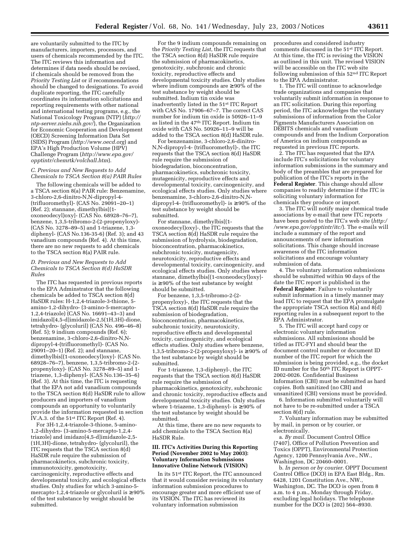are voluntarily submitted to the ITC by manufacturers, importers, processors, and users of chemicals recommended by the ITC. The ITC reviews this information and determines if data needs should be revised, if chemicals should be removed from the *Priority Testing List* or if recommendations should be changed to designations. To avoid duplicate reporting, the ITC carefully coordinates its information solicitations and reporting requirements with other national and international testing programs, e.g., the National Toxicology Program (NTP) (*http:// ntp-server.niehs.nih.gov/*), the Organization for Economic Cooperation and Development (OECD) Screening Information Data Set (SIDS) Program (*http://www.oecd.org*) and EPA's High Production Volume (HPV) Challenge Program (*http://www.epa.gov/ opptintr/chemrtk/volchall.htm*).

## *C. Previous and New Requests to Add Chemicals to TSCA Section 8(a) PAIR Rules*

The following chemicals will be added to a TSCA section 8(a) PAIR rule: Benzenamine, 3-chloro-2,6-dinitro-N,N-dipropyl-4- (trifluoromethyl)- (CAS No. 29091–20–1) (Ref. 2); stannane, dimethylbis[(1 oxoneodecyl)oxy]- (CAS No. 68928–76–7), benzene, 1,3,5-tribromo-2-(2-propenyloxy)- (CAS No. 3278–89–5) and 1-triazene, 1,3 diphenyl- (CAS No.136-35-6) (Ref. 3); and 43 vanadium compounds (Ref. 4). At this time, there are no new requests to add chemicals to the TSCA section 8(a) PAIR rule.

#### *D. Previous and New Requests to Add Chemicals to TSCA Section 8(d) HaSDR Rules*

The ITC has requested in previous reports to the EPA Adminstrator that the following chemicals be added to TSCA section 8(d) HaSDR rules: H-1,2,4-triazole-3-thione, 5 amino-1,2-dihydro- (3-amino-5-mercapto-1,2,4-triazole) (CAS No. 16691–43–3) and imidazol[4,5-d]imidazole-2,5(1H,3H)-dione, tetrahydro- (glycoluril) (CAS No. 496–46–8) (Ref. 5); 9 indium compounds (Ref. 6); benzenamine, 3-chloro-2,6-dinitro-N,Ndipropyl-4-(trifluoromethyl)- (CAS No. 29091–20–1) (Ref. 2); and stannane, dimethylbis[(1-oxoneodecyl)oxy]- (CAS No. 68928–76–7), benzene, 1,3,5-tribromo-2-(2 propenyloxy)- (CAS No. 3278–89–5) and 1 triazene, 1,3-diphenyl- (CAS No.136–35–6) (Ref. 3). At this time, the ITC is requesting that the EPA not add vanadium compounds to the TSCA section 8(d) HaSDR rule to allow producers and importers of vanadium compounds an opportunity to voluntarily provide the information requested in section IV.A.3. of the 51st ITC Report (Ref. 4).

For 3H-1,2,4-triazole-3-thione, 5-amino-1,2-dihydro- (3-amino-5-mercapto-1,2,4 triazole) and imidazo[4,5-d]imidazole-2,5- (1H,3H)-dione, tetrahydro- (glycoluril), the ITC requests that the TSCA section 8(d) HaSDR rule require the submission of pharmacokinetics, subchronic toxicity, immunotoxicity, genotoxicity, carcinogenicity, reproductive effects and developmental toxicity, and ecological effects studies. Only studies for which 3-amino-5 mercapto-1,2,4-triazole or glycoluril is  $\geq 90\%$ of the test substance by weight should be submitted.

For the 9 indium compounds remaining on the *Priority Testing List*, the ITC requests that the TSCA section 8(d) HaSDR rule require the submission of pharmacokinetics, genotoxicity, subchronic and chronic toxicity, reproductive effects and developmental toxicity studies. Only studies where indium compounds are  $\geq 90\%$  of the test substance by weight should be submitted. Indium tin oxide was inadvertently listed in the 51st ITC Report with CAS No. 17906–67–7. The correct CAS number for indium tin oxide is 50926–11–9 as listed in the 47th ITC Report. Indium tin oxide with CAS No. 50926–11–9 will be added to the TSCA section 8(d) HaSDR rule.

For benzenamine, 3-chloro-2,6-dinitro-N,N-dipropyl-4- (trifluoromethyl)-, the ITC requests that the TSCA section 8(d) HaSDR rule require the submission of biodegradation, bioconcentration, pharmacokinetics, subchronic toxicity, mutagenicity, reproductive effects and developmental toxicity, carcinogenicity, and ecological effects studies. Only studies where benzenamine, 3-chloro-2,6-dinitro-N,Ndipropyl-4- (trifluoromethyl)- is ≥ 90% of the test substance by weight should be submitted.

For stannane, dimethylbis[(1 oxoneodecyl)oxy]-, the ITC requests that the TSCA section 8(d) HaSDR rule require the submission of hydrolysis, biodegradation, bioconcentration, pharmacokinetics, subchronic toxicity, mutagenicity, neurotoxicity, reproductive effects and developmental toxicity, carcinogenicity, and ecological effects studies. Only studies where stannane, dimethylbis[(1-oxoneodecyl)oxy] is ≥ 90% of the test substance by weight should be submitted.

For benzene, 1,3,5-tribromo-2-(2 propenyloxy)-, the ITC requests that the TSCA section 8(d) HaSDR rule require the submission of biodegradation, bioconcentration, pharmacokinetics, subchronic toxicity, neurotoxicity, reproductive effects and developmental toxicity, carcinogenicity, and ecological effects studies. Only studies where benzene, 1,3,5-tribromo-2-(2-propenyloxy)- is  $\geq$  90% of the test substance by weight should be submitted.

For 1-triazene, 1,3-diphenyl-, the ITC requests that the TSCA section 8(d) HaSDR rule require the submission of pharmacokinetics, genotoxicity, subchronic and chronic toxicity, reproductive effects and developmental toxicity studies. Only studies where 1-triazene, 1,3-diphenyl- is  $\geq 90\%$  of the test substance by weight should be submitted.

At this time, there are no new requests to add chemicals to the TSCA Section 8(a) HaSDR Rule.

#### **III. ITC's Activities During this Reporting Period (November 2002 to May 2003): Voluntary Information Submissions Innovative Online Network (VISION)**

In its 51st ITC Report, the ITC announced that it would consider revising its voluntary information submission procedures to encourage greater and more efficient use of its VISION. The ITC has reviewed its voluntary information submission

procedures and considered industry comments discussed in the 51st ITC Report. At this time, the ITC is revising the VISION as outlined in this unit. The revised VISION will be accessible on the ITC web site following submission of this 52nd ITC Report to the EPA Administrator.

1. The ITC will continue to acknowledge trade organizations and companies that voluntarily submit information in response to an ITC solicitation. During this reporting period, the ITC acknowledges the voluntary submissions of information from the Color Pigments Manufacturers Association on DEBITS chemicals and vanadium compounds and from the Indium Corporation of America on indium compounds as requested in previous ITC reports.

2. The ITC has requested that the EPA include ITC's solicitations for voluntary information submissions in the summary and body of the preambles that are prepared for publication of the ITC's reports in the **Federal Register**. This change should allow companies to readily determine if the ITC is soliciting voluntary information for chemicals they produce or import.

3. The ITC will notify major chemical trade associations by e-mail that new ITC reports have been posted to the ITC's web site (*http:/ /www.epa.gov/opptintr/itc/*). The e-mails will include a summary of the report and announcements of new information solicitations. This change should increase awareness of the ITC information solicitations and encourage voluntary submission of data.

4. The voluntary information submissions should be submitted within 90 days of the date the ITC report is published in the **Federal Register**. Failure to voluntarily submit information in a timely manner may lead ITC to request that the EPA promulgate the appropriate TSCA section 8(a) and 8(d) reporting rules in a subsequent report to the EPA Administrator.

5. The ITC will accept hard copy or electronic voluntary information submissions. All submissions should be titled as ITC-FYI and should bear the document control number or document ID number of the ITC report for which the submission is being provided, e.g., the docket ID number for the 50th ITC Report is OPPT-2002-0026. Confidential Business Information (CBI) must be submitted as hard copies. Both sanitized (no CBI) and unsanitized (CBI) versions must be provided.

6. Information submitted voluntarily will not have to be re-submitted under a TSCA section 8(d) rule.

7. Voluntary information may be submitted by mail, in person or by courier, or electronically.

a. *By mail*. Document Control Office (7407), Office of Pollution Prevention and Toxics (OPPT), Environmental Protection Agency, 1200 Pennsylvania Ave., NW., Washington, DC 20460–0001.

b. *In person or by courier*. OPPT Document Control Office (DCO) in EPA East Bldg., Rm. 6428, 1201 Constitution Ave., NW., Washington, DC. The DCO is open from 8 a.m. to 4 p.m., Monday through Friday, excluding legal holidays. The telephone number for the DCO is (202) 564–8930.